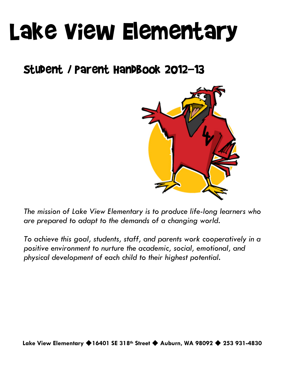# Lake View Elementary

# Student / Parent Handbook 2012-13



*The mission of Lake View Elementary is to produce life-long learners who are prepared to adapt to the demands of a changing world.* 

*To achieve this goal, students, staff, and parents work cooperatively in a positive environment to nurture the academic, social, emotional, and physical development of each child to their highest potential.*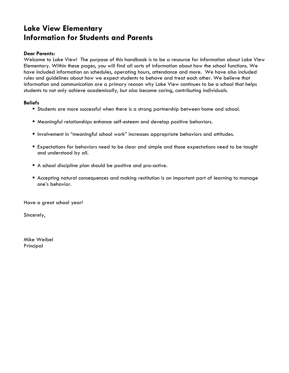# **Lake View Elementary Information for Students and Parents**

# **Dear Parents:**

Welcome to Lake View! The purpose of this handbook is to be a resource for information about Lake View Elementary. Within these pages, you will find all sorts of information about how the school functions. We have included information on schedules, operating hours, attendance and more. We have also included rules and guidelines about how we expect students to behave and treat each other. We believe that information and communication are a primary reason why Lake View continues to be a school that helps students to not only achieve academically, but also become caring, contributing individuals.

# **Beliefs**

- Students are more successful when there is a strong partnership between home and school.
- Meaningful relationships enhance self-esteem and develop positive behaviors.
- **Involvement in "meaningful school work" increases appropriate behaviors and attitudes.**
- **Expectations for behaviors need to be clear and simple and those expectations need to be taught** and understood by all.
- A school discipline plan should be positive and pro-active.
- Accepting natural consequences and making restitution is an important part of learning to manage one's behavior.

Have a great school year!

Sincerely,

Mike Weibel Principal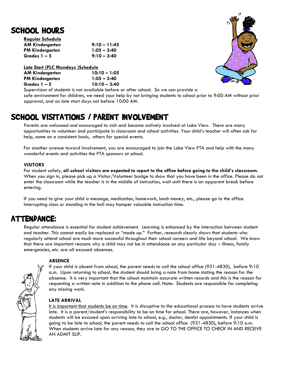# SCHOOL HOURS **Regular Schedule**

| <b>Regular Scheaule</b> |                |
|-------------------------|----------------|
| <b>AM Kindergarten</b>  | $9:10 - 11:45$ |
| <b>PM Kindergarten</b>  | $1:05 - 3:40$  |
| Grades 1 – 5            | $9:10 - 3:40$  |

**Late Start (PLC Mondays )Schedule**

| <b>AM Kindergarten</b> | $10:10 - 1:05$ |  |
|------------------------|----------------|--|
| PM Kindergarten        | $1:05 - 3:40$  |  |
| Grades 1 – 5           | $10:10 - 3:40$ |  |



Supervision of students is not available before or after school. So we can provide a safe environment for children, we need your help by not bringing students to school prior to 9:00 AM without prior approval, and on late start days not before 10:00 AM.

# SCHOOL VISITATIONS / PARENT INVOLVEMENT

Parents are *welcomed and encouraged* to visit and become actively involved at Lake View. There are many opportunities to volunteer and participate in classroom and school activities. Your child's teacher will often ask for help, some on a consistent basis, others for special events.

For another avenue toward involvement, you are encouraged to join the Lake View PTA and help with the many wonderful events and activities the PTA sponsors at school.

# **VISITORS**

For student safety, **all school visitors are expected to report to the office before going to the child's classroom.** When you sign in, please pick up a Visitor/Volunteer badge to show that you have been in the office. Please do not enter the classroom while the teacher is in the middle of instruction, wait until there is an apparent break before entering.

If you need to give your child a message, medication, homework, lunch money, etc., please go to the office. Interrupting class or standing in the hall may hamper valuable instruction time.

# ATTENDANCE:

Regular attendance is essential for student achievement. Learning is enhanced by the interaction between student and teacher. This cannot easily be replaced or "made up." Further, research clearly shows that students who regularly attend school are much more successful throughout their school careers and life beyond school. We know that there are important reasons why a child may not be in attendance on any particular day – illness, family emergencies, etc. are all excused absences.

# **ABSENCE**

If your child is absent from school, the parent needs to call the school office (931-4830), before 9:10 a.m. Upon returning to school, the student should bring a note from home stating the reason for the absence. It is very important that the school maintain accurate written records and this is the reason for requesting a written note in addition to the phone call. Note: Students are responsible for completing any missing work.

# **LATE ARRIVAL**

It is important that students be on time. It is disruptive to the educational process to have students arrive late. It is a parent/student's responsibility to be on time for school. There are, however, instances when students will be excused upon arriving late to school, e.g., doctor, dentist appointments. If your child is going to be late to school, the parent needs to call the school office (931-4830), before 9:10 a.m. When students arrive late for any reason, they are to GO TO THE OFFICE TO CHECK IN AND RECEIVE AN ADMIT SLIP.

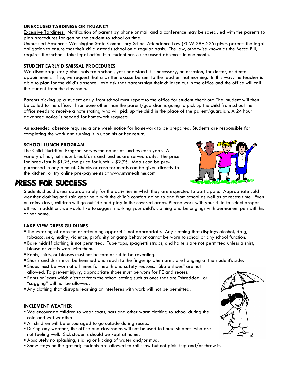## **UNEXCUSED TARDINESS OR TRUANCY**

Excessive Tardiness: Notification of parent by phone or mail and a conference may be scheduled with the parents to plan procedures for getting the student to school on time.

Unexcused Absences: Washington State Compulsory School Attendance Law (RCW 28A.225) gives parents the legal obligation to ensure that their child attends school on a regular basis. The law, otherwise known as the Becca Bill, requires that schools take legal action if a student has 5 unexcused absences in one month.

#### **STUDENT EARLY DISMISSAL PROCEDURES**

We discourage early dismissals from school, yet understand it is necessary, on occasion, for doctor, or dental appointments. If so, we request that a written excuse be sent to the teacher that morning. In this way, the teacher is able to plan for the child's absence. We ask that parents sign their children out in the office and the office will call the student from the classroom.

Parents picking up a student early from school must report to the office for student check out. The student will then be called to the office. If someone other than the parent/guardian is going to pick up the child from school the office needs to receive a note stating who will pick up the child in the place of the parent/guardian. A  $24$  hour advanced notice is needed for homework requests.

An extended absence requires a one week notice for homework to be prepared. Students are responsible for completing the work and turning it in upon his or her return.

## **SCHOOL LUNCH PROGRAM**

The Child Nurtrition Program serves thousands of lunches each year. A variety of hot, nutritious breakfasts and lunches are served daily. The price for breakfast is \$1.25, the price for lunch - \$2.75. Meals can be prepurchased in any amount. Checks or cash for meals can be given directly to the kitchen, or try online pre-payments at www.mymealtime.com



# DRESS FOR SUCCESS

Students should dress appropriately for the activities in which they are expected to participate. Appropriate cold weather clothing and rain gear help with the child's comfort going to and from school as well as at recess time. Even on rainy days, children will go outside and play in the covered areas. Please work with your child to select proper attire. In addition, we would like to suggest marking your child's clothing and belongings with permanent pen with his or her name.

## **LAKE VIEW DRESS GUIDLINES**

- The wearing of obscene or offending apparel is not appropriate. Any clothing that displays alcohol, drug, tobacco, sex, nudity, violence, profanity or gang behavior cannot be worn to school or any school function.
- Bare midriff clothing is not permitted. Tube tops, spaghetti straps, and halters are not permitted unless a shirt, blouse or vest is worn with them.
- Pants, shirts, or blouses must not be torn or cut to be revealing.
- Shorts and skirts must be hemmed and reach to the fingertip when arms are hanging at the student's side.
- Shoes must be worn at all times for health and safety reasons. "Skate shoes" are not allowed. To prevent injury, appropriate shoes must be worn for PE and recess.
- Pants or jeans which distract from the school setting such as ones that are "shredded" or "sagging" will not be allowed.
- Any clothing that disrupts learning or interferes with work will not be permitted.

#### **INCLEMENT WEATHER**

- We encourage children to wear coats, hats and other warm clothing to school during the cold and wet weather.
- All children will be encouraged to go outside during recess.
- During any weather, the office and classrooms will not be used to house students who are not feeling well. Sick students should be kept at home.
- Absolutely no splashing, sliding or kicking of water and/or mud.
- Snow stays on the ground; students are allowed to roll snow but not pick it up and/or throw it.

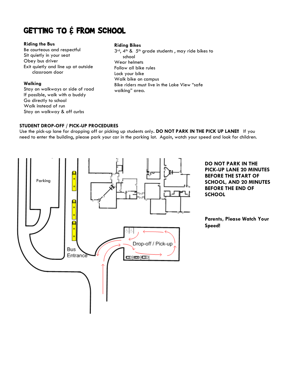# GETTING TO & FROM SCHOOL

#### **Riding the Bus**

Be courteous and respectful Sit quietly in your seat Obey bus driver Exit quietly and line up at outside classroom door

## **Walking**

Stay on walkways or side of road If possible, walk with a buddy Go directly to school Walk instead of run Stay on walkway & off curbs

# **Riding Bikes**

 $3^{rd}$ , 4<sup>th</sup> &  $5^{th}$  grade students, may ride bikes to school Wear helmets Follow all bike rules Lock your bike Walk bike on campus Bike riders must live in the Lake View "safe walking" area.

# **STUDENT DROP-OFF / PICK-UP PROCEDURES**

Use the pick-up lane for dropping off or picking up students only**. DO NOT PARK IN THE PICK UP LANE!!** If you need to enter the building, please park your car in the parking lot. Again, watch your speed and look for children.



**DO NOT PARK IN THE PICK-UP LANE 20 MINUTES BEFORE THE START OF SCHOOL, AND 20 MINUTES BEFORE THE END OF SCHOOL**

**Parents, Please Watch Your Speed!**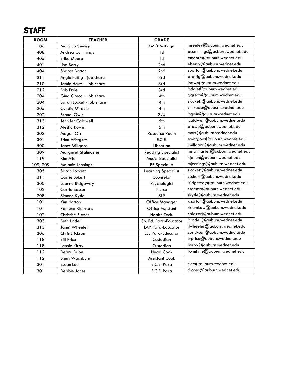# STAFF

| <b>ROOM</b> | <b>TEACHER</b>           | <b>GRADE</b>               |                               |
|-------------|--------------------------|----------------------------|-------------------------------|
| 106         | Mary Jo Seeley           | AM/PM Kdgn.                | mseeley@auburn.wednet.edu     |
| 408         | <b>Andrea Cummings</b>   | 1st                        | acummings@auburn.wednet.edu   |
| 405         | Erika Moore              | 1st                        | emoore@auburn.wednet.edu      |
| 401         | Lisa Berry               | 2nd                        | eberry@auburn.wednet.edu      |
| 404         | Sharon Borton            | 2nd                        | sborton@auburn.wednet.edu     |
| 211         | Angie Fettig - job share | 3rd                        | afettig@auburn.wednet.edu     |
| 210         | Jamie Haws - job share   | 3rd                        | jhaws@auburn.wednet.edu       |
| 212         | <b>Bob Dale</b>          | 3rd                        | bdale@auburn.wednet.edu       |
| 204         | Gina Greco - job share   | 4th                        | ggreco@auburn.wednet.edu      |
| 204         | Sarah Lockett- job share | 4th                        | slockett@auburn.wednet.edu    |
| 205         | Cyndie Miracle           | 4th                        | cmiracle@auburn.wednet.edu    |
| 202         | <b>Brandi Gwin</b>       | 3/4                        | bgwin@auburn.wednet.edu       |
| 313         | Jennifer Caldwell        | 5th                        | jcaldwell@auburn.wednet.edu   |
| 312         | Alesha Rowe              | 5th                        | arowe@auburn.wednet.edu       |
| 303         | Megan Orr                | Resource Room              | morr@auburn.wednet.edu        |
| 301         | Erica Wittgow            | E.C.E.                     | ewittgow@auburn.wednet.edu    |
| 500         | Janet Millgard           | Librarian                  | jmillgard@auburn.wednet.edu   |
| 309         | Margaret Stalmaster      | <b>Reading Specialist</b>  | mstalmaster@auburn.wednet.edu |
| 119         | Kim Allen                | Music Specialist           | kjallen@auburn.wednet.edu     |
| 109, 209    | Melanie Jennings         | <b>PE Specialist</b>       | mjennings@auburn.wednet.edu   |
| 305         | Sarah Lockett            | <b>Learning Specialist</b> | slockett@auburn.wednet.edu    |
| 311         | <b>Carrie Sukert</b>     | Counselor                  | csukert@auburn.wednet.edu     |
| 300         | Leanna Ridgeway          | Psychologist               | Iridgeway@auburn.wednet.edu   |
| 102         | <b>Carrie Sasser</b>     | Nurse                      | csasser@auburn.wednet.edu     |
| 208         | Simone Kytle             | <b>SLP</b>                 | skytle@auburn.wednet.edu      |
| 101         | Kim Horton               | Office Manager             | khorton@auburn.wednet.edu     |
| 101         | Ramona Klemkow           | <b>Office Assistant</b>    | rklemkow@auburn.wednet.edu    |
| 102         | <b>Christine Blazer</b>  | Health Tech.               | cblazer@auburn.wednet.edu     |
| 303         | <b>Beth Lindell</b>      | Sp. Ed. Para-Educator      | blindell@auburn.wednet.edu    |
| 313         | Janet Wheeler            | LAP Para-Educator          | jlwheeler@auburn.wednet.edu   |
| 306         | Chris Erickson           | <b>ELL Para-Educator</b>   | cerickson@auburn.wednet.edu   |
| 118         | <b>Bill Price</b>        | Custodian                  | wprice@auburn.wednet.edu      |
| 118         | Lannie Kirby             | Custodian                  | lkirby@auburn.wednet.edu      |
| 112         | Debra Dube               | <b>Head Cook</b>           | lkvmtime@auburn.wednet.edu    |
| 112         | Sheri Washburn           | <b>Assistant Cook</b>      |                               |
| 301         | Susan Lee                | E.C.E. Para                | slee@auburn.wednet.edu        |
| 301         | Debbie Jones             | E.C.E. Para                | djones@auburn.wednet.edu      |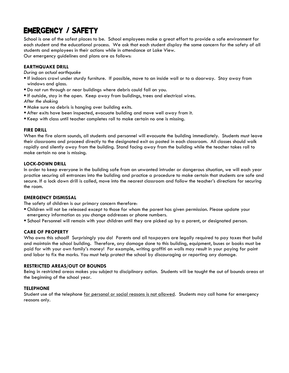# EMERGENCY / SAFETY

School is one of the safest places to be. School employees make a great effort to provide a safe environment for each student and the educational process. We ask that each student display the same concern for the safety of all students and employees in their actions while in attendance at Lake View. Our emergency guidelines and plans are as follows:

## **EARTHQUAKE DRILL**

#### *During an actual earthquake*

- If indoors crawl under sturdy furniture. If possible, move to an inside wall or to a doorway. Stay away from windows and glass.
- Do not run through or near buildings where debris could fall on you.
- If outside, stay in the open. Keep away from buildings, trees and electrical wires.
- *After the shaking*
- Make sure no debris is hanging over building exits.
- After exits have been inspected, evacuate building and move well away from it.
- Keep with class until teacher completes roll to make certain no one is missing.

#### **FIRE DRILL**

When the fire alarm sounds, all students and personnel will evacuate the building immediately. Students must leave their classrooms and proceed directly to the designated exit as posted in each classroom. All classes should walk rapidly and silently away from the building. Stand facing away from the building while the teacher takes roll to make certain no one is missing.

#### **LOCK-DOWN DRILL**

In order to keep everyone in the building safe from an unwanted intruder or dangerous situation, we will each year practice securing all entrances into the building and practice a procedure to make certain that students are safe and secure. If a lock down drill is called, move into the nearest classroom and follow the teacher's directions for securing the room.

#### **EMERGENCY DISMISSAL**

The safety of children is our primary concern therefore:

- Children will not be released except to those for whom the parent has given permission. Please update your emergency information as you change addresses or phone numbers.
- School Personnel will remain with your children until they are picked up by a parent, or designated person.

## **CARE OF PROPERTY**

Who owns this school? Surprisingly you do! Parents and all taxpayers are legally required to pay taxes that build and maintain the school building. Therefore, any damage done to this building, equipment, buses or books must be paid for with your own family's money! For example, writing graffiti on walls may result in your paying for paint and labor to fix the marks. You must help protect the school by discouraging or reporting any damage.

#### **RESTRICTED AREAS/OUT OF BOUNDS**

Being in restricted areas makes you subject to disciplinary action. Students will be taught the out of bounds areas at the beginning of the school year.

## **TELEPHONE**

Student use of the telephone for personal or social reasons is not allowed. Students may call home for emergency reasons only.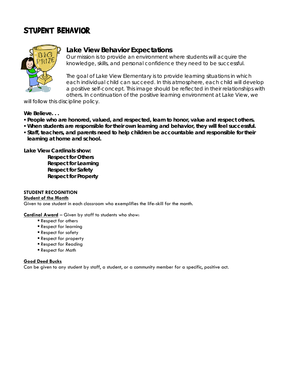# STUDENT BEHAVIOR



# **Lake View Behavior Expectations**

Our mission is to provide an environment where students will acquire the knowledge, skills, and personal confidence they need to be successful.

The goal of Lake View Elementary is to provide learning situations in which each individual child can succeed. In this atmosphere, each child will develop a positive self-concept. This image should be reflected in their relationships with others. In continuation of the positive learning environment at Lake View, we

will follow this discipline policy.

**We Believe. . .**

- **People who are honored, valued, and respected, learn to honor, value and respect others.**
- **When students are responsible for their own learning and behavior, they will feel successful.**
- **Staff, teachers, and parents need to help children be accountable and responsible for their learning at home and school.**

**Lake View Cardinals show:**

**Respect for Others Respect for Learning Respect for Safety Respect for Property**

# **STUDENT RECOGNITION**

**Student of the Month**

Given to one student in each classroom who exemplifies the life-skill for the month.

**Cardinal Award** – Given by staff to students who show:

- **Respect for others**
- Respect for learning
- Respect for safety
- Respect for property
- Respect for Reading
- Respect for Math

# **Good Deed Bucks**

Can be given to any student by staff, a student, or a community member for a specific, positive act.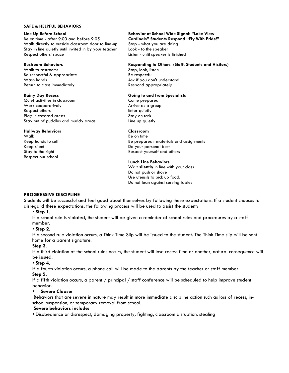#### **SAFE & HELPFUL BEHAVIORS**

#### **Line Up Before School**

Be on time - after 9:00 and before 9:05 Walk directly to outside classroom door to line-up Stay in line quietly until invited in by your teacher Respect others' space

#### **Restroom Behaviors**

Walk to restrooms Be respectful & appropriate Wash hands Return to class immediately

#### **Rainy Day Recess**

Quiet activities in classroom Work cooperatively Respect others Play in covered areas Stay out of puddles and muddy areas

#### **Hallway Behaviors**

Walk Keep hands to self Keep silent Stay to the right Respect our school

#### **Behavior at School Wide Signal: "Lake View Cardinals" Students Respond "Fly With Pride!"** Stop - what you are doing Look - to the speaker

Listen - until speaker is finished

#### **Responding to Others (Staff, Students and Visitors)**

Stop, look, listen Be respectful Ask if you don't understand Respond appropriately

#### **Going to and from Specialists**

Come prepared Arrive as a group Enter quietly Stay on task Line up quietly

#### **Classroom**

Be on time Be prepared: materials and assignments Do your personal best Respect yourself and others

#### **Lunch Line Behaviors**

Wait **silently** in line with your class Do not push or shove Use utensils to pick up food. Do not lean against serving tables

## **PROGRESSIVE DISCIPLINE**

Students will be successful and feel good about themselves by following these expectations. If a student chooses to disregard these expectations, the following process will be used to assist the student:

# **Step 1**.

If a school rule is violated, the student will be given a reminder of school rules and procedures by a staff member.

#### **Step 2.**

If a second rule violation occurs, a Think Time Slip will be issued to the student. The Think Time slip will be sent home for a parent signature.

#### **Step 3.**

If a third violation of the school rules occurs, the student will lose recess time or another, natural consequence will be issued.

#### **Step 4.**

If a fourth violation occurs, a phone call will be made to the parents by the teacher or staff member.

# **Step 5.**

If a fifth violation occurs, a parent / principal / staff conference will be scheduled to help improve student behavior.

#### **Severe Clause**:

Behaviors that are severe in nature may result in more immediate discipline action such as loss of recess, inschool suspension, or temporary removal from school.

#### **Severe behaviors include:**

Disobedience or disrespect, damaging property, fighting, classroom disruption, stealing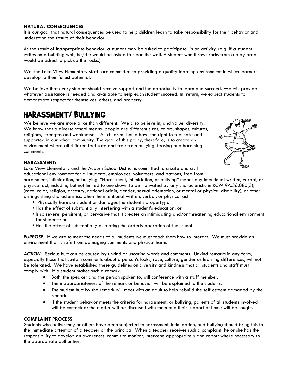#### **NATURAL CONSEQUENCES**

It is our goal that natural consequences be used to help children learn to take responsibility for their behavior and understand the results of their behavior.

As the result of inappropriate behavior, a student may be asked to participate in an activity. (e.g. If a student writes on a building wall, he/she would be asked to clean the wall. A student who throws rocks from a play area would be asked to pick up the rocks.)

We, the Lake View Elementary staff, are committed to providing a quality learning environment in which learners develop to their fullest potential.

We believe that every student should receive support and the opportunity to learn and succeed. We will provide whatever assistance is needed and available to help each student succeed. In return, we expect students to demonstrate respect for themselves, others, and property.

# HARASSMENT/ BULLYING

We believe we are more alike than different. We also believe in, and value, diversity. We know that a diverse school means people are different sizes, colors, shapes, cultures, religions, strengths and weaknesses. All children should have the right to feel safe and supported in our school community. The goal of this policy, therefore, is to create an environment where all children feel safe and free from bullying, teasing and harassing comments.



#### **HARASSMENT:**

Lake View Elementary and the Auburn School District is committed to a safe and civil educational environment for all students, employees, volunteers, and patrons, free from

harassment, intimidation, or bullying. "Harassment, intimidation, or bullying" means any intentional written, verbal, or physical act, including but not limited to one shown to be motivated by any characteristic in RCW 9A.36.080(3), (race, color, religion, ancestry, national origin, gender, sexual orientation, or mental or physical disability), or other distinguishing characteristics, when the intentional written, verbal, or physical act:

- **Physically harms a student or damages the student's property; or**
- Has the effect of substantially interfering with a student's education; or
- Is so severe, persistent, or pervasive that it creates an intimidating and/or threatening educational environment for students; or
- Has the effect of substantially disrupting the orderly operation of the school

*PURPOSE:* If we are to meet the needs of all students we must teach them how to interact. We must provide an environment that is safe from damaging comments and physical harm.

*ACTION:* Serious hurt can be caused by unkind or uncaring words and comments. Unkind remarks in any form, especially those that contain comments about a person's looks, race, culture, gender or learning differences, will not be tolerated. We have established these guidelines on diversity and kindness that all students and staff must comply with. If a student makes such a remark:

- Both, the speaker and the person spoken to, will conference with a staff member.
- The inappropriateness of the remark or behavior will be explained to the students.
- The student hurt by the remark will meet with an adult to help rebuild the self esteem damaged by the remark.
- If the student behavior meets the criteria for harassment, or bullying, parents of all students involved will be contacted; the matter will be discussed with them and their support at home will be sought.

## **COMPLAINT PROCESS**

Students who belive they or others have been subjected to harassment, intimidation, and bullying should bring this to the immediate attention of a teacher or the principal. When a teacher receives such a complaint, he or she has the responsibility to develop an awareness, commit to monitor, intervene appropraitely and report where necessary to the appropriate authorities.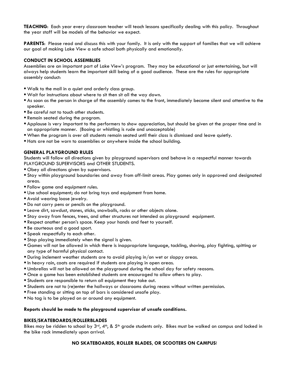**TEACHING**: Each year every classroom teacher will teach lessons specifically dealing with this policy. Throughout the year staff will be models of the behavior we expect.

PARENTS: Please read and discuss this with your family. It is only with the support of families that we will achieve our goal of making Lake View a safe school both physically and emotionally.

#### **CONDUCT IN SCHOOL ASSEMBLIES**

Assemblies are an important part of Lake View's program. They may be educational or just entertaining, but will always help students learn the important skill being of a good audience. These are the rules for appropriate assembly conduct:

- Walk to the mall in a quiet and orderly class group.
- Wait for instructions about where to sit then sit all the way down.
- As soon as the person in charge of the assembly comes to the front, immediately become silent and attentive to the speaker.
- **Be careful not to touch other students.**
- Remain seated during the program.
- Applause is very important to the performers to show appreciation, but should be given at the proper time and in an appropriate manner. (Booing or whistling is rude and unacceptable)
- When the program is over all students remain seated until their class is dismissed and leave quietly.
- Hats are not be worn to assemblies or anywhere inside the school building.

#### **GENERAL PLAYGROUND RULES**

Students will follow all directions given by playground supervisors and behave in a respectful manner towards PLAYGROUND SUPERVISORS and OTHER STUDENTS.

- Obey all directions given by supervisors.
- Stay within playground boundaries and away from off-limit areas. Play games only in approved and designated areas.
- Follow game and equipment rules.
- Use school equipment; do not bring toys and equipment from home.
- **Avoid wearing loose jewelry.**
- Do not carry pens or pencils on the playground.
- Leave dirt, sawdust, stones, sticks, snowballs, rocks or other objects alone.
- Stay away from fences, trees, and other structures not intended as playground equipment.
- Respect another person's space. Keep your hands and feet to yourself.
- Be courteous and a good sport.
- **Speak respectfully to each other.**
- **Stop playing immediately when the signal is given.**
- Games will not be allowed in which there is inappropriate language, tackling, shoving, play fighting, spitting or any type of harmful physical contact.
- During inclement weather students are to avoid playing in/on wet or sloppy areas.
- In heavy rain, coats are required if students are playing in open areas.
- Umbrellas will not be allowed on the playground during the school day for safety reasons.
- Once a game has been established students are encouraged to allow others to play.
- Students are responsible to return all equipment they take out.
- Students are not to (re)enter the hallways or classrooms during recess without written permission.
- Free standing or sitting on top of bars is considered unsafe play.
- No tag is to be played on or around any equipment.

#### **Reports should be made to the playground supervisor of unsafe conditions.**

#### **BIKES/SKATEBOARDS/ROLLERBLADES**

Bikes may be ridden to school by  $3^{rd}$ ,  $4^{th}$ , &  $5^{th}$  grade students only. Bikes must be walked on campus and locked in the bike rack immediately upon arrival.

#### **NO SKATEBOARDS, ROLLER BLADES, OR SCOOTERS ON CAMPUS**!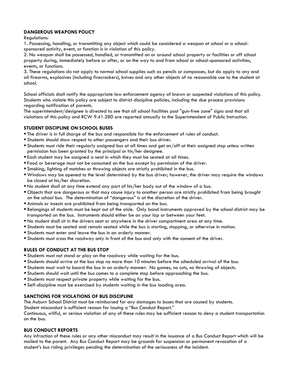# **DANGEROUS WEAPONS POLICY**

Regulations:

1. Possessing, handling, or transmitting any object which could be considered a weapon at school or a schoolsponsored activity, event, or function is in violation of this policy.

2. No weapon shall be possessed, handled, or transmitted on or around school property or facilities or off school property during, immediately before or after, or on the way to and from school or school-sponsored activities, events, or functions.

3. These regulations do not apply to normal school supplies such as pencils or compasses, but do apply to any and all firearms, explosives (including firecrackers), knives and any other objects of no reasonable use to the student at school.

School officials shall notify the appropriate law enforcement agency of known or suspected violations of this policy. Students who violate this policy are subject to district discipline policies, including the due process provisions regarding notification of parents.

The superintendent/designee is directed to see that all school facilities post "gun-free zone" signs and that all violations of this policy and RCW 9.41.280 are reported annually to the Superintendent of Public Instruction.

## **STUDENT DISCIPLINE ON SCHOOL BUSES**

- The driver is in full charge of the bus and responsible for the enforcement of rules of conduct.
- Students should show respect to other passengers and their bus driver.
- Students must ride their regularly assigned bus at all times and get on/off at their assigned stop unless written permission has been granted by the principal or his/her designee.
- Each student may be assigned a seat in which they must be seated at all times.
- Food or beverage must not be consumed on the bus except by permission of the driver.
- Smoking, lighting of matches or throwing objects are strictly prohibited in the bus.
- Windows may be opened to the level determined by the bus driver; however, the driver may require the windows be closed at his/her discretion.
- No student shall at any time extend any part of his/her body out of the window of a bus.
- Objects that are dangerous or that may cause injury to another person are strictly prohibited from being brought on the school bus. The determination of "dangerous" is at the discretion of the driver.
- Animals or insects are prohibited from being transported on the bus.
- Belongings of students must be kept out of the aisle. Only band instruments approved by the school district may be transported on the bus. Instruments should either be on your lap or between your feet.
- No student shall sit in the drivers seat or anywhere in the driver compartment area at any time.
- Students must be seated and remain seated while the bus is starting, stopping, or otherwise in motion.
- Students must enter and leave the bus in an orderly manner.
- Students must cross the roadway only in front of the bus and only with the consent of the driver.

#### **RULES OF CONDUCT AT THE BUS STOP**

- Students must not stand or play on the roadway while waiting for the bus.
- Students should arrive at the bus stop no more than 10 minutes before the scheduled arrival of the bus.
- Students must wait to board the bus in an orderly manner: No games, no cuts, no throwing of objects.
- Students should wait until the bus comes to a complete stop before approaching the bus.
- Students must respect private property while waiting for the bus.
- Self-discipline must be exercised by students waiting in the bus loading area.

#### **SANCTIONS FOR VIOLATIONS OF BUS DISCIPLINE**

The Auburn School District must be reimbursed for any damages to buses that are caused by students.

Student misconduct is sufficient reason for issuing a "Bus Conduct Report."

Continuous, willful, or serious violation of any of these rules may be sufficient reason to deny a student transportation on the bus.

#### **BUS CONDUCT REPORTS**

Any infraction of these rules or any other misconduct may result in the issuance of a Bus Conduct Report which will be mailed to the parent. Any Bus Conduct Report may be grounds for suspension or permanent revocation of a student's bus riding privileges pending the determination of the seriousness of the incident.